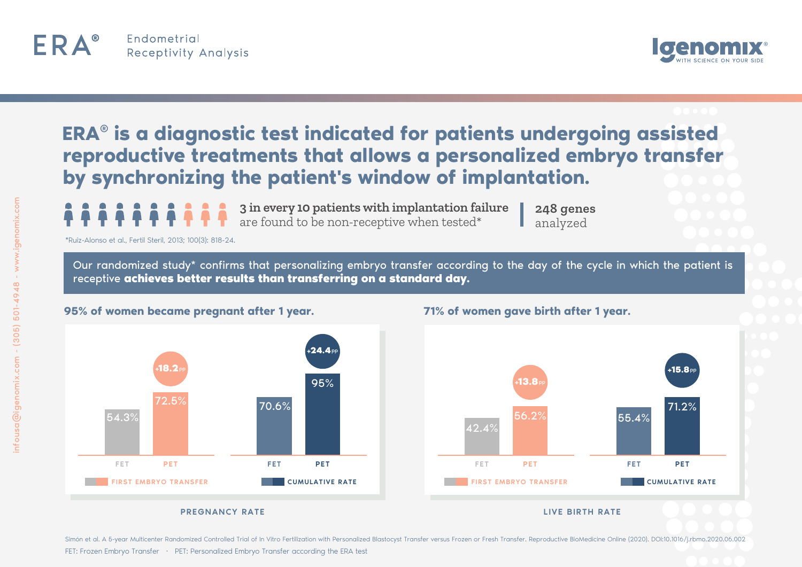



## **ERA® is a diagnostic test indicated for patients undergoing assisted reproductive treatments that allows a personalized embryo transfer by synchronizing the patient's window of implantation.**

**3 in every 10 patients with implantation failure** are found to be non-receptive when tested\*

**248 genes** analyzed

\*Ruiz-Alonso et al., Fertil Steril, 2013; 100(3): 818-24.

Our randomized study\* confirms that personalizing embryo transfer according to the day of the cycle in which the patient is receptive **achieves better results than transferring on a standard day.**



**95% of women became pregnant after 1 year.**

## **71% of women gave birth after 1 year.**



Simón et al. A 5-year Multicenter Randomized Controlled Trial of In Vitro Fertilization with Personalized Blastocyst Transfer versus Frozen or Fresh Transfer. Reproductive BioMedicine Online (2020). DOI:10.1016/i.rbmo.2020 FET: Frozen Embryo Transfer · PET: Personalized Embryo Transfer according the ERA test